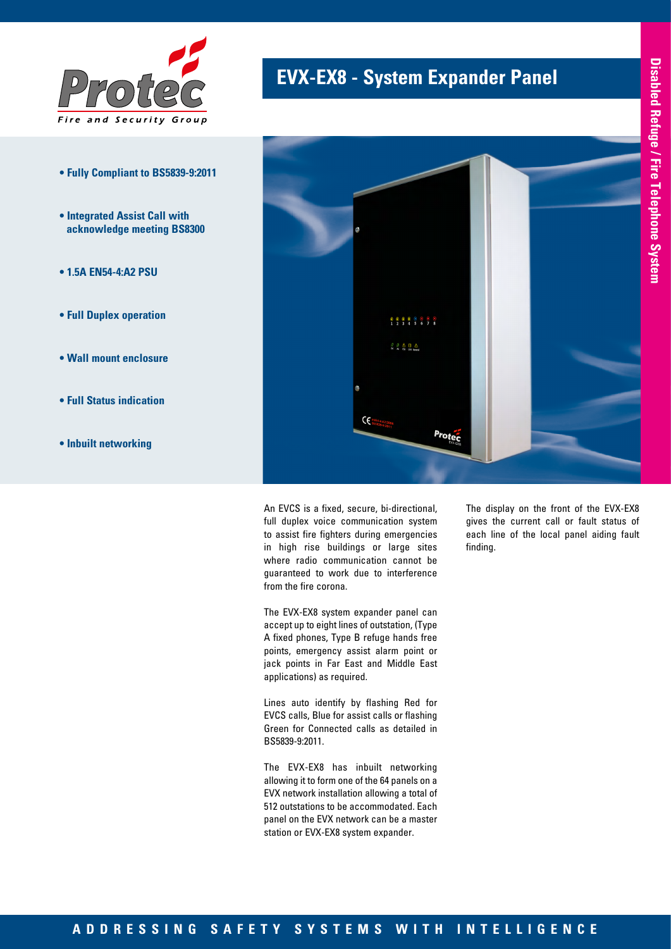

- **Fully Compliant to BS5839-9:2011**
- **Integrated Assist Call with acknowledge meeting BS8300**
- **1.5A EN54-4:A2 PSU**
- **Full Duplex operation**
- **Wall mount enclosure**
- **Full Status indication**
- **Inbuilt networking**

## **EVX-EX8 - System Expander Panel**



An EVCS is a fixed, secure, bi-directional, full duplex voice communication system to assist fire fighters during emergencies in high rise buildings or large sites where radio communication cannot be guaranteed to work due to interference from the fire corona.

The EVX-EX8 system expander panel can accept up to eight lines of outstation, (Type A fixed phones, Type B refuge hands free points, emergency assist alarm point or jack points in Far East and Middle East applications) as required.

Lines auto identify by flashing Red for EVCS calls, Blue for assist calls or flashing Green for Connected calls as detailed in BS5839-9:2011.

The EVX-EX8 has inbuilt networking allowing it to form one of the 64 panels on a EVX network installation allowing a total of 512 outstations to be accommodated. Each panel on the EVX network can be a master station or EVX-EX8 system expander.

The display on the front of the EVX-EX8 gives the current call or fault status of each line of the local panel aiding fault finding.